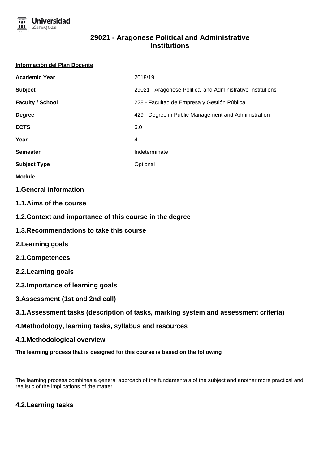

# **29021 - Aragonese Political and Administrative Institutions**

#### **Información del Plan Docente**

| <b>Academic Year</b>    | 2018/19                                                     |
|-------------------------|-------------------------------------------------------------|
| <b>Subject</b>          | 29021 - Aragonese Political and Administrative Institutions |
| <b>Faculty / School</b> | 228 - Facultad de Empresa y Gestión Pública                 |
| <b>Degree</b>           | 429 - Degree in Public Management and Administration        |
| <b>ECTS</b>             | 6.0                                                         |
| Year                    | 4                                                           |
| <b>Semester</b>         | Indeterminate                                               |
| <b>Subject Type</b>     | Optional                                                    |
| <b>Module</b>           |                                                             |

### **1.General information**

- **1.1.Aims of the course**
- **1.2.Context and importance of this course in the degree**
- **1.3.Recommendations to take this course**
- **2.Learning goals**
- **2.1.Competences**
- **2.2.Learning goals**
- **2.3.Importance of learning goals**
- **3.Assessment (1st and 2nd call)**
- **3.1.Assessment tasks (description of tasks, marking system and assessment criteria)**
- **4.Methodology, learning tasks, syllabus and resources**
- **4.1.Methodological overview**
- **The learning process that is designed for this course is based on the following**

The learning process combines a general approach of the fundamentals of the subject and another more practical and realistic of the implications of the matter.

# **4.2.Learning tasks**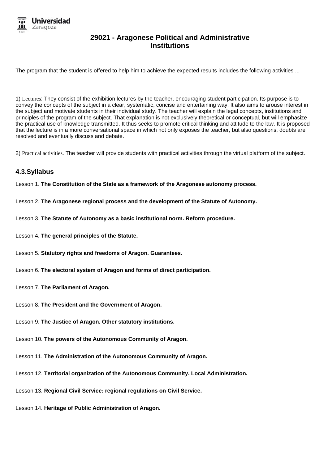

## **29021 - Aragonese Political and Administrative Institutions**

The program that the student is offered to help him to achieve the expected results includes the following activities ...

1) Lectures: They consist of the exhibition lectures by the teacher, encouraging student participation. Its purpose is to convey the concepts of the subject in a clear, systematic, concise and entertaining way. It also aims to arouse interest in the subject and motivate students in their individual study. The teacher will explain the legal concepts, institutions and principles of the program of the subject. That explanation is not exclusively theoretical or conceptual, but will emphasize the practical use of knowledge transmitted. It thus seeks to promote critical thinking and attitude to the law. It is proposed that the lecture is in a more conversational space in which not only exposes the teacher, but also questions, doubts are resolved and eventually discuss and debate.

2) Practical activities. The teacher will provide students with practical activities through the virtual platform of the subject.

### **4.3.Syllabus**

Lesson 1. **The Constitution of the State as a framework of the Aragonese autonomy process.**

- Lesson 2. **The Aragonese regional process and the development of the Statute of Autonomy.**
- Lesson 3. **The Statute of Autonomy as a basic institutional norm. Reform procedure.**
- Lesson 4. **The general principles of the Statute.**
- Lesson 5. **Statutory rights and freedoms of Aragon. Guarantees.**
- Lesson 6. **The electoral system of Aragon and forms of direct participation.**
- Lesson 7. **The Parliament of Aragon.**
- Lesson 8. **The President and the Government of Aragon.**
- Lesson 9. **The Justice of Aragon. Other statutory institutions.**
- Lesson 10. **The powers of the Autonomous Community of Aragon.**
- Lesson 11. **The Administration of the Autonomous Community of Aragon.**
- Lesson 12. **Territorial organization of the Autonomous Community. Local Administration.**
- Lesson 13. **Regional Civil Service: regional regulations on Civil Service.**
- Lesson 14. **Heritage of Public Administration of Aragon.**